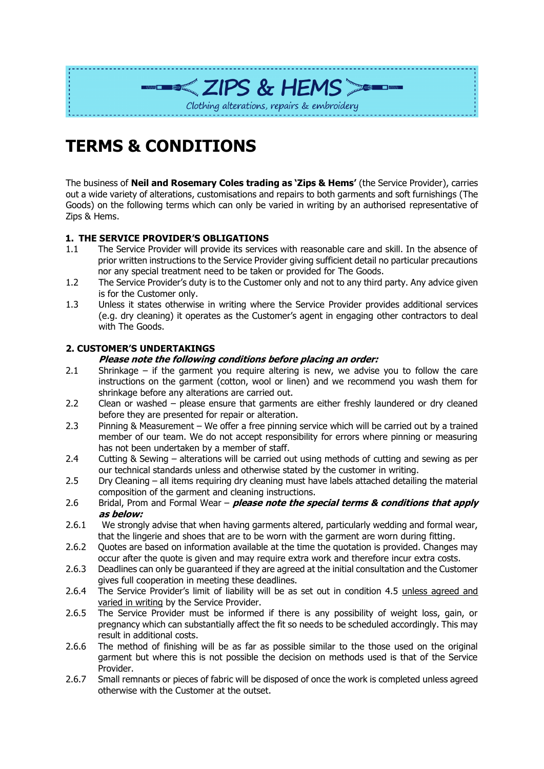

# **TERMS & CONDITIONS**

The business of **Neil and Rosemary Coles trading as 'Zips & Hems'** (the Service Provider), carries out a wide variety of alterations, customisations and repairs to both garments and soft furnishings (The Goods) on the following terms which can only be varied in writing by an authorised representative of Zips & Hems.

# **1. THE SERVICE PROVIDER'S OBLIGATIONS**

- 1.1 The Service Provider will provide its services with reasonable care and skill. In the absence of prior written instructions to the Service Provider giving sufficient detail no particular precautions nor any special treatment need to be taken or provided for The Goods.
- 1.2 The Service Provider's duty is to the Customer only and not to any third party. Any advice given is for the Customer only.
- 1.3 Unless it states otherwise in writing where the Service Provider provides additional services (e.g. dry cleaning) it operates as the Customer's agent in engaging other contractors to deal with The Goods.

# **2. CUSTOMER'S UNDERTAKINGS**

## **Please note the following conditions before placing an order:**

- 2.1 Shrinkage if the garment you require altering is new, we advise you to follow the care instructions on the garment (cotton, wool or linen) and we recommend you wash them for shrinkage before any alterations are carried out.
- 2.2 Clean or washed please ensure that garments are either freshly laundered or dry cleaned before they are presented for repair or alteration.
- 2.3 Pinning & Measurement We offer a free pinning service which will be carried out by a trained member of our team. We do not accept responsibility for errors where pinning or measuring has not been undertaken by a member of staff.
- 2.4 Cutting & Sewing alterations will be carried out using methods of cutting and sewing as per our technical standards unless and otherwise stated by the customer in writing.
- 2.5 Dry Cleaning all items requiring dry cleaning must have labels attached detailing the material composition of the garment and cleaning instructions.
- 2.6 Bridal, Prom and Formal Wear **please note the special terms & conditions that apply as below:**
- 2.6.1 We strongly advise that when having garments altered, particularly wedding and formal wear, that the lingerie and shoes that are to be worn with the garment are worn during fitting.
- 2.6.2 Quotes are based on information available at the time the quotation is provided. Changes may occur after the quote is given and may require extra work and therefore incur extra costs.
- 2.6.3 Deadlines can only be guaranteed if they are agreed at the initial consultation and the Customer gives full cooperation in meeting these deadlines.
- 2.6.4 The Service Provider's limit of liability will be as set out in condition 4.5 unless agreed and varied in writing by the Service Provider.
- 2.6.5 The Service Provider must be informed if there is any possibility of weight loss, gain, or pregnancy which can substantially affect the fit so needs to be scheduled accordingly. This may result in additional costs.
- 2.6.6 The method of finishing will be as far as possible similar to the those used on the original garment but where this is not possible the decision on methods used is that of the Service Provider.
- 2.6.7 Small remnants or pieces of fabric will be disposed of once the work is completed unless agreed otherwise with the Customer at the outset.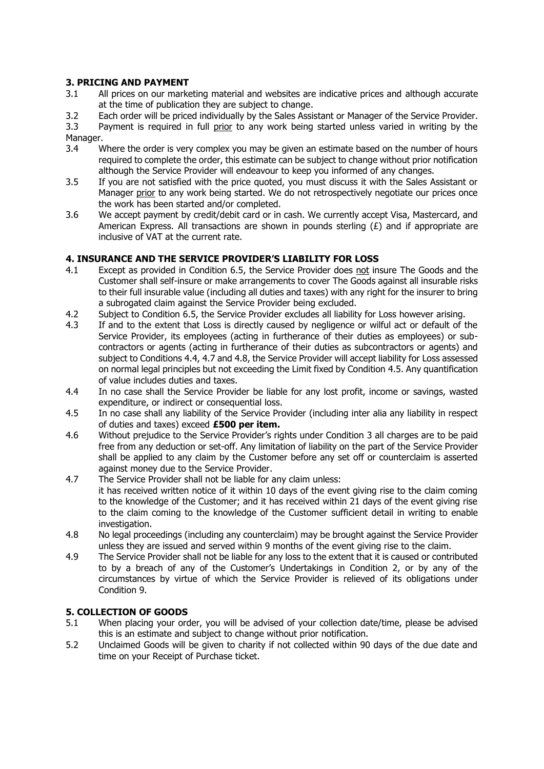# **3. PRICING AND PAYMENT**

- 3.1 All prices on our marketing material and websites are indicative prices and although accurate at the time of publication they are subject to change.
- 3.2 Each order will be priced individually by the Sales Assistant or Manager of the Service Provider.

3.3 Payment is required in full prior to any work being started unless varied in writing by the Manager.

- 3.4 Where the order is very complex you may be given an estimate based on the number of hours required to complete the order, this estimate can be subject to change without prior notification although the Service Provider will endeavour to keep you informed of any changes.
- 3.5 If you are not satisfied with the price quoted, you must discuss it with the Sales Assistant or Manager prior to any work being started. We do not retrospectively negotiate our prices once the work has been started and/or completed.
- 3.6 We accept payment by credit/debit card or in cash. We currently accept Visa, Mastercard, and American Express. All transactions are shown in pounds sterling  $(E)$  and if appropriate are inclusive of VAT at the current rate.

# **4. INSURANCE AND THE SERVICE PROVIDER'S LIABILITY FOR LOSS**

- 4.1 Except as provided in Condition 6.5, the Service Provider does not insure The Goods and the Customer shall self-insure or make arrangements to cover The Goods against all insurable risks to their full insurable value (including all duties and taxes) with any right for the insurer to bring a subrogated claim against the Service Provider being excluded.
- 4.2 Subject to Condition 6.5, the Service Provider excludes all liability for Loss however arising.
- 4.3 If and to the extent that Loss is directly caused by negligence or wilful act or default of the Service Provider, its employees (acting in furtherance of their duties as employees) or subcontractors or agents (acting in furtherance of their duties as subcontractors or agents) and subject to Conditions 4.4, 4.7 and 4.8, the Service Provider will accept liability for Loss assessed on normal legal principles but not exceeding the Limit fixed by Condition 4.5. Any quantification of value includes duties and taxes.
- 4.4 In no case shall the Service Provider be liable for any lost profit, income or savings, wasted expenditure, or indirect or consequential loss.
- 4.5 In no case shall any liability of the Service Provider (including inter alia any liability in respect of duties and taxes) exceed **£500 per item.**
- 4.6 Without prejudice to the Service Provider's rights under Condition 3 all charges are to be paid free from any deduction or set-off. Any limitation of liability on the part of the Service Provider shall be applied to any claim by the Customer before any set off or counterclaim is asserted against money due to the Service Provider.
- 4.7 The Service Provider shall not be liable for any claim unless: it has received written notice of it within 10 days of the event giving rise to the claim coming to the knowledge of the Customer; and it has received within 21 days of the event giving rise to the claim coming to the knowledge of the Customer sufficient detail in writing to enable investigation.
- 4.8 No legal proceedings (including any counterclaim) may be brought against the Service Provider unless they are issued and served within 9 months of the event giving rise to the claim.
- 4.9 The Service Provider shall not be liable for any loss to the extent that it is caused or contributed to by a breach of any of the Customer's Undertakings in Condition 2, or by any of the circumstances by virtue of which the Service Provider is relieved of its obligations under Condition 9.

# **5. COLLECTION OF GOODS**

- 5.1 When placing your order, you will be advised of your collection date/time, please be advised this is an estimate and subject to change without prior notification.
- 5.2 Unclaimed Goods will be given to charity if not collected within 90 days of the due date and time on your Receipt of Purchase ticket.